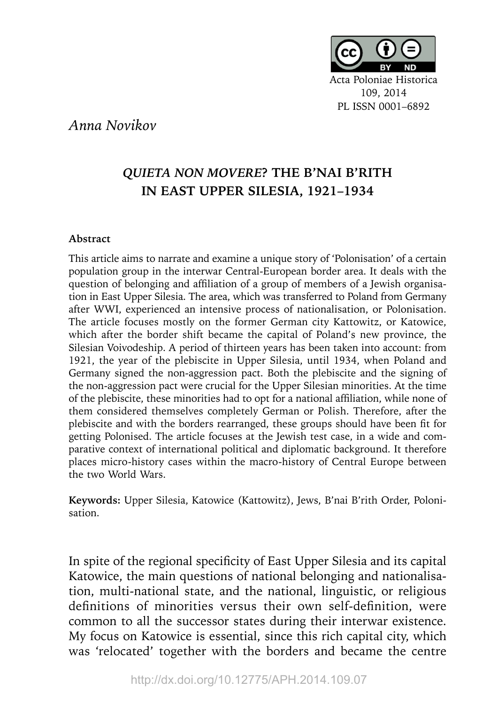

## *Anna Novikov*

## *QUIETA NON MOVERE***? THE B'NAI B'RITH IN EAST UPPER SILESIA, 1921–1934**

## **Abstract**

This article aims to narrate and examine a unique story of 'Polonisation' of a certain population group in the interwar Central-European border area. It deals with the question of belonging and affiliation of a group of members of a Jewish organisation in East Upper Silesia. The area, which was transferred to Poland from Germany after WWI, experienced an intensive process of nationalisation, or Polonisation. The article focuses mostly on the former German city Kattowitz, or Katowice, which after the border shift became the capital of Poland's new province, the Silesian Voivodeship. A period of thirteen years has been taken into account: from 1921, the year of the plebiscite in Upper Silesia, until 1934, when Poland and Germany signed the non-aggression pact. Both the plebiscite and the signing of the non-aggression pact were crucial for the Upper Silesian minorities. At the time of the plebiscite, these minorities had to opt for a national affiliation, while none of them considered themselves completely German or Polish. Therefore, after the plebiscite and with the borders rearranged, these groups should have been fit for getting Polonised. The article focuses at the Jewish test case, in a wide and comparative context of international political and diplomatic background. It therefore places micro-history cases within the macro-history of Central Europe between the two World Wars.

**Keywords:** Upper Silesia, Katowice (Kattowitz), Jews, B'nai B'rith Order, Polonisation.

In spite of the regional specificity of East Upper Silesia and its capital Katowice, the main questions of national belonging and nationalisation, multi-national state, and the national, linguistic, or religious definitions of minorities versus their own self-definition, were common to all the successor states during their interwar existence. My focus on Katowice is essential, since this rich capital city, which was 'relocated' together with the borders and became the centre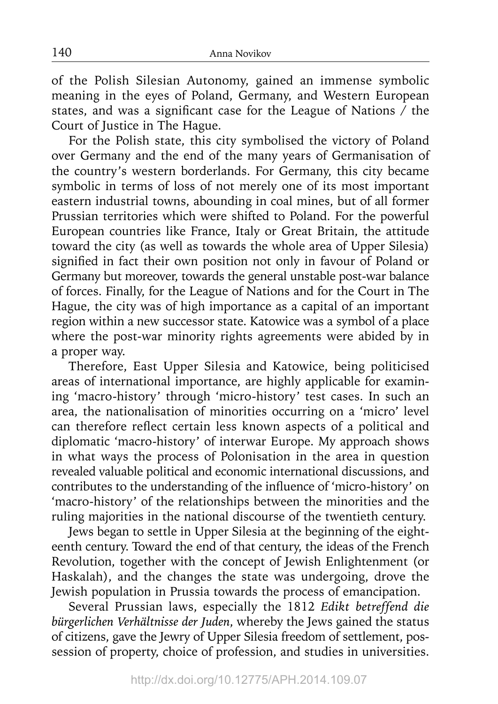of the Polish Silesian Autonomy, gained an immense symbolic meaning in the eyes of Poland, Germany, and Western European states, and was a significant case for the League of Nations  $\overline{\phantom{x}}$  the Court of Justice in The Hague.

For the Polish state, this city symbolised the victory of Poland over Germany and the end of the many years of Germanisation of the country's western borderlands. For Germany, this city became symbolic in terms of loss of not merely one of its most important eastern industrial towns, abounding in coal mines, but of all former Prussian territories which were shifted to Poland. For the powerful European countries like France, Italy or Great Britain, the attitude toward the city (as well as towards the whole area of Upper Silesia) signified in fact their own position not only in favour of Poland or Germany but moreover, towards the general unstable post-war balance of forces. Finally, for the League of Nations and for the Court in The Hague, the city was of high importance as a capital of an important region within a new successor state. Katowice was a symbol of a place where the post-war minority rights agreements were abided by in a proper way.

Therefore, East Upper Silesia and Katowice, being politicised areas of international importance, are highly applicable for examining 'macro-history' through 'micro-history' test cases. In such an area, the nationalisation of minorities occurring on a 'micro' level can therefore reflect certain less known aspects of a political and diplomatic 'macro-history' of interwar Europe. My approach shows in what ways the process of Polonisation in the area in question revealed valuable political and economic international discussions, and contributes to the understanding of the influence of 'micro-history' on 'macro-history' of the relationships between the minorities and the ruling majorities in the national discourse of the twentieth century.

Jews began to settle in Upper Silesia at the beginning of the eighteenth century. Toward the end of that century, the ideas of the French Revolution, together with the concept of Jewish Enlightenment (or Haskalah), and the changes the state was undergoing, drove the Jewish population in Prussia towards the process of emancipation.

Several Prussian laws, especially the 1812 *Edikt betreffend die bürgerlichen Verhältnisse der Juden*, whereby the Jews gained the status of citizens, gave the Jewry of Upper Silesia freedom of settlement, possession of property, choice of profession, and studies in universities.

http://dx.doi.org/10.12775/APH.2014.109.07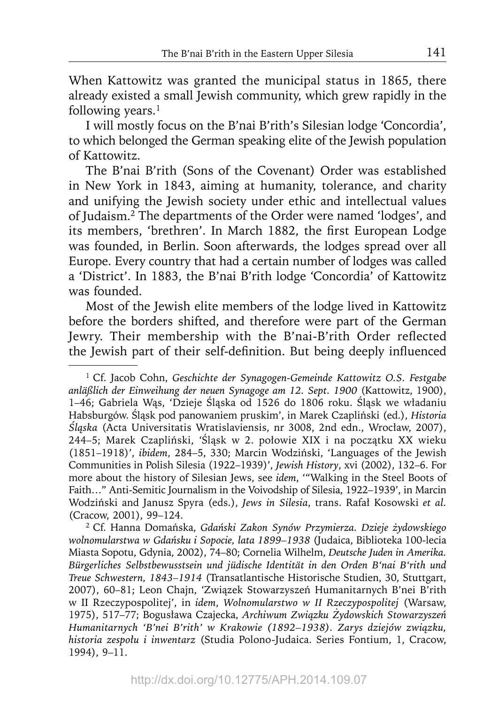When Kattowitz was granted the municipal status in 1865, there already existed a small Jewish community, which grew rapidly in the following years.<sup>1</sup>

I will mostly focus on the B'nai B'rith's Silesian lodge 'Concordia', to which belonged the German speaking elite of the Jewish population of Kattowitz.

The B'nai B'rith (Sons of the Covenant) Order was established in New York in 1843, aiming at humanity, tolerance, and charity and unifying the Jewish society under ethic and intellectual values of Judaism.2 The departments of the Order were named 'lodges', and its members, 'brethren'. In March 1882, the first European Lodge was founded, in Berlin. Soon afterwards, the lodges spread over all Europe. Every country that had a certain number of lodges was called a 'District'. In 1883, the B'nai B'rith lodge 'Concordia' of Kattowitz was founded.

Most of the Jewish elite members of the lodge lived in Kattowitz before the borders shifted, and therefore were part of the German Jewry. Their membership with the B'nai-B'rith Order reflected the Jewish part of their self-definition. But being deeply influenced

<sup>1</sup> Cf. Jacob Cohn, *Geschichte der Synagogen-Gemeinde Kattowitz O.S. Festgabe anläßlich der Einweihung der neuen Synagoge am 12. Sept. 1900* (Kattowitz, 1900), 1–46; Gabriela Wąs, 'Dzieje Śląska od 1526 do 1806 roku. Śląsk we władaniu Habsburgów. Śląsk pod panowaniem pruskim', in Marek Czapliński (ed.), *Historia Śląska* (Acta Universitatis Wratislaviensis, nr 3008, 2nd edn., Wrocław, 2007), 244–5; Marek Czapliński, 'Śląsk w 2. połowie XIX i na początku XX wieku (1851–1918)', *ibidem*, 284–5, 330; Marcin Wodziński, 'Languages of the Jewish Communities in Polish Silesia (1922–1939)', *Jewish History*, xvi (2002), 132–6. For more about the history of Silesian Jews, see *idem*, '"Walking in the Steel Boots of Faith…" Anti-Semitic Journalism in the Voivodship of Silesia, 1922–1939', in Marcin Wodziński and Janusz Spyra (eds.), *Jews in Silesia*, trans. Rafał Kosowski *et al.* (Cracow, 2001), 99–124.

<sup>2</sup> Cf. Hanna Domańska, *Gdański Zakon Synów Przymierza. Dzieje żydowskiego wolnomularstwa w Gdańsku i Sopocie, lata 1899–1938* (Judaica, Biblioteka 100-lecia Miasta Sopotu, Gdynia, 2002), 74–80; Cornelia Wilhelm, *Deutsche Juden in Amerika. Bürgerliches Selbstbewusstsein und jüdische Identität in den Orden B'nai B'rith und Treue Schwestern, 1843–1914* (Transatlantische Historische Studien, 30, Stuttgart, 2007), 60–81; Leon Chajn, 'Związek Stowarzyszeń Humanitarnych B'nei B'rith w II Rzeczypospolitej', in *idem*, *Wolnomularstwo w II Rzeczypospolitej* (Warsaw, 1975), 517–77; Bogusława Czajecka, *Archiwum Związku Żydowskich Stowarzyszeń Humanitarnych 'B'nei B'rith' w Krakowie (1892–1938). Zarys dziejów związku, historia zespołu i inwentarz* (Studia Polono-Judaica. Series Fontium, 1, Cracow, 1994), 9–11.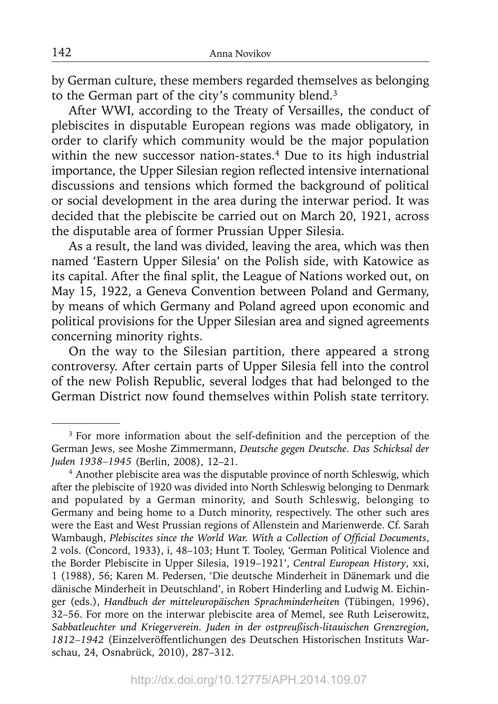by German culture, these members regarded themselves as belonging to the German part of the city's community blend.<sup>3</sup>

After WWI, according to the Treaty of Versailles, the conduct of plebiscites in disputable European regions was made obligatory, in order to clarify which community would be the major population within the new successor nation-states.4 Due to its high industrial importance, the Upper Silesian region reflected intensive international discussions and tensions which formed the background of political or social development in the area during the interwar period. It was decided that the plebiscite be carried out on March 20, 1921, across the disputable area of former Prussian Upper Silesia.

As a result, the land was divided, leaving the area, which was then named 'Eastern Upper Silesia' on the Polish side, with Katowice as its capital. After the final split, the League of Nations worked out, on May 15, 1922, a Geneva Convention between Poland and Germany, by means of which Germany and Poland agreed upon economic and political provisions for the Upper Silesian area and signed agreements concerning minority rights.

On the way to the Silesian partition, there appeared a strong controversy. After certain parts of Upper Silesia fell into the control of the new Polish Republic, several lodges that had belonged to the German District now found themselves within Polish state territory.

<sup>&</sup>lt;sup>3</sup> For more information about the self-definition and the perception of the German Jews, see Moshe Zimmermann, *Deutsche gegen Deutsche. Das Schicksal der Juden 1938–1945* (Berlin, 2008), 12–21.

<sup>4</sup> Another plebiscite area was the disputable province of north Schleswig, which after the plebiscite of 1920 was divided into North Schleswig belonging to Denmark and populated by a German minority, and South Schleswig, belonging to Germany and being home to a Dutch minority, respectively. The other such ares were the East and West Prussian regions of Allenstein and Marienwerde. Cf. Sarah Wambaugh, *Plebiscites since the World War. With a Collection of Official Documents*, 2 vols. (Concord, 1933), i, 48–103; Hunt T. Tooley, 'German Political Violence and the Border Plebiscite in Upper Silesia, 1919–1921', *Central European History*, xxi, 1 (1988), 56; Karen M. Pedersen, 'Die deutsche Minderheit in Dänemark und die dänische Minderheit in Deutschland', in Robert Hinderling and Ludwig M. Eichinger (eds.), *Handbuch der mitteleuropäischen Sprachminderheiten* (Tübingen, 1996), 32–56. For more on the interwar plebiscite area of Memel, see Ruth Leiserowitz, *Sabbatleuchter und Kriegerverein. Juden in der ostpreußisch-litauischen Grenzregion,*  1812–1942 (Einzelveröffentlichungen des Deutschen Historischen Instituts Warschau, 24, Osnabrück, 2010), 287–312.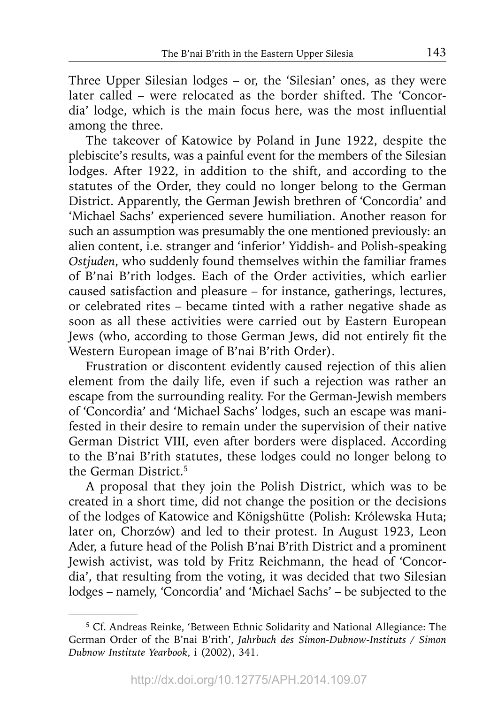Three Upper Silesian lodges – or, the 'Silesian' ones, as they were later called – were relocated as the border shifted. The 'Concordia' lodge, which is the main focus here, was the most influential among the three.

The takeover of Katowice by Poland in June 1922, despite the plebiscite's results, was a painful event for the members of the Silesian lodges. After 1922, in addition to the shift, and according to the statutes of the Order, they could no longer belong to the German District. Apparently, the German Jewish brethren of 'Concordia' and 'Michael Sachs' experienced severe humiliation. Another reason for such an assumption was presumably the one mentioned previously: an alien content, i.e. stranger and 'inferior' Yiddish- and Polish-speaking *Ostjuden*, who suddenly found themselves within the familiar frames of B'nai B'rith lodges. Each of the Order activities, which earlier caused satisfaction and pleasure – for instance, gatherings, lectures, or celebrated rites – became tinted with a rather negative shade as soon as all these activities were carried out by Eastern European Jews (who, according to those German Jews, did not entirely fit the Western European image of B'nai B'rith Order).

Frustration or discontent evidently caused rejection of this alien element from the daily life, even if such a rejection was rather an escape from the surrounding reality. For the German-Jewish members of 'Concordia' and 'Michael Sachs' lodges, such an escape was manifested in their desire to remain under the supervision of their native German District VIII, even after borders were displaced. According to the B'nai B'rith statutes, these lodges could no longer belong to the German District.<sup>5</sup>

A proposal that they join the Polish District, which was to be created in a short time, did not change the position or the decisions of the lodges of Katowice and Königshütte (Polish: Królewska Huta; later on, Chorzów) and led to their protest. In August 1923, Leon Ader, a future head of the Polish B'nai B'rith District and a prominent Jewish activist, was told by Fritz Reichmann, the head of 'Concordia', that resulting from the voting, it was decided that two Silesian lodges – namely, 'Concordia' and 'Michael Sachs' – be subjected to the

<sup>5</sup> Cf. Andreas Reinke, 'Between Ethnic Solidarity and National Allegiance: The German Order of the B'nai B'rith', *Jahrbuch des Simon-Dubnow-Instituts / Simon Dubnow Institute Yearbook*, i (2002), 341.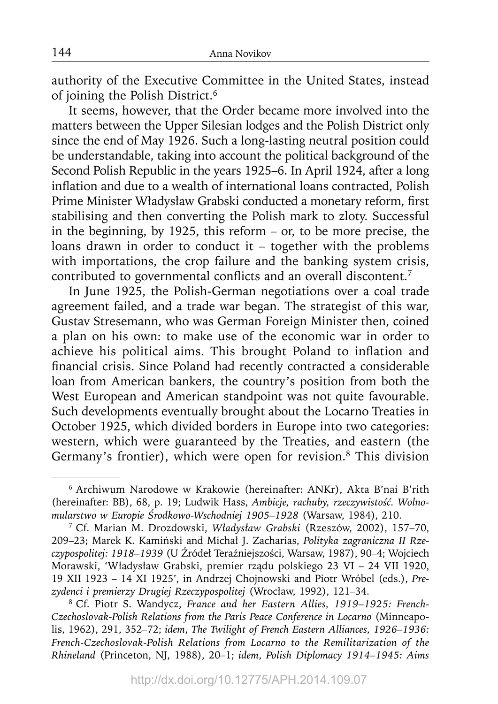authority of the Executive Committee in the United States, instead of joining the Polish District.6

It seems, however, that the Order became more involved into the matters between the Upper Silesian lodges and the Polish District only since the end of May 1926. Such a long-lasting neutral position could be understandable, taking into account the political background of the Second Polish Republic in the years 1925–6. In April 1924, after a long inflation and due to a wealth of international loans contracted, Polish Prime Minister Władysław Grabski conducted a monetary reform, first stabilising and then converting the Polish mark to zloty. Successful in the beginning, by 1925, this reform – or, to be more precise, the loans drawn in order to conduct it – together with the problems with importations, the crop failure and the banking system crisis, contributed to governmental conflicts and an overall discontent.<sup>7</sup>

In June 1925, the Polish-German negotiations over a coal trade agreement failed, and a trade war began. The strategist of this war, Gustav Stresemann, who was German Foreign Minister then, coined a plan on his own: to make use of the economic war in order to achieve his political aims. This brought Poland to inflation and financial crisis. Since Poland had recently contracted a considerable loan from American bankers, the country's position from both the West European and American standpoint was not quite favourable. Such developments eventually brought about the Locarno Treaties in October 1925, which divided borders in Europe into two categories: western, which were guaranteed by the Treaties, and eastern (the Germany's frontier), which were open for revision.<sup>8</sup> This division

8 Cf. Piotr S. Wandycz, *France and her Eastern Allies, 1919–1925: French-Czechoslovak-Polish Relations from the Paris Peace Conference in Locarno* (Minneapolis, 1962), 291, 352–72; *idem*, *The Twilight of French Eastern Alliances, 1926–1936: French-Czechoslovak-Polish Relations from Locarno to the Remilitarization of the Rhineland* (Princeton, NJ, 1988), 20–1; *idem*, *Polish Diplomacy 1914–1945: Aims* 

<sup>6</sup> Archiwum Narodowe w Krakowie (hereinafter: ANKr), Akta B'nai B'rith (hereinafter: BB), 68, p. 19; Ludwik Hass, *Ambicje, rachuby, rzeczywistość. Wolnomularstwo w Europie Środkowo-Wschodniej 1905–1928* (Warsaw, 1984), 210.

<sup>7</sup> Cf. Marian M. Drozdowski, *Władysław Grabski* (Rzeszów, 2002), 157–70, 209–23; Marek K. Kamiński and Michał J. Zacharias, *Polityka zagraniczna II Rzeczypospolitej: 1918–1939* (U Źródeł Teraźniejszości, Warsaw, 1987), 90–4; Wojciech Morawski, 'Władysław Grabski, premier rządu polskiego 23 VI – 24 VII 1920, 19 XII 1923 – 14 XI 1925', in Andrzej Chojnowski and Piotr Wróbel (eds.), *Prezydenci i premierzy Drugiej Rzeczypospolitej* (Wrocław, 1992), 121–34.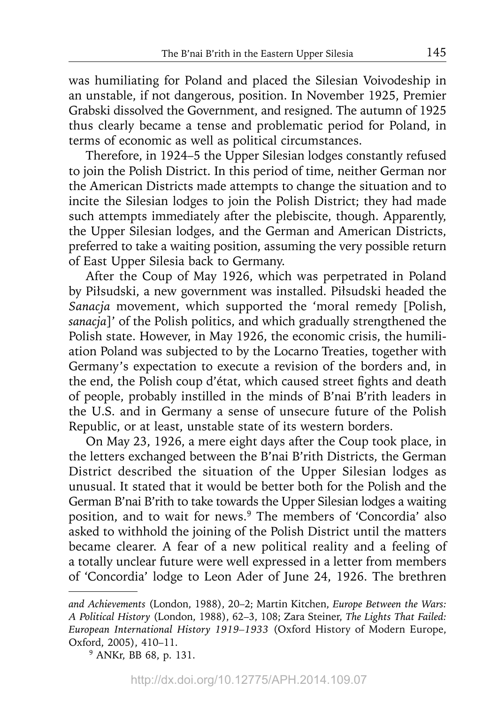was humiliating for Poland and placed the Silesian Voivodeship in an unstable, if not dangerous, position. In November 1925, Premier Grabski dissolved the Government, and resigned. The autumn of 1925 thus clearly became a tense and problematic period for Poland, in terms of economic as well as political circumstances.

Therefore, in 1924–5 the Upper Silesian lodges constantly refused to join the Polish District. In this period of time, neither German nor the American Districts made attempts to change the situation and to incite the Silesian lodges to join the Polish District; they had made such attempts immediately after the plebiscite, though. Apparently, the Upper Silesian lodges, and the German and American Districts, preferred to take a waiting position, assuming the very possible return of East Upper Silesia back to Germany.

After the Coup of May 1926, which was perpetrated in Poland by Piłsudski, a new government was installed. Piłsudski headed the *Sanacja* movement, which supported the 'moral remedy [Polish, *sanacja*]' of the Polish politics, and which gradually strengthened the Polish state. However, in May 1926, the economic crisis, the humiliation Poland was subjected to by the Locarno Treaties, together with Germany's expectation to execute a revision of the borders and, in the end, the Polish coup d'état, which caused street fights and death of people, probably instilled in the minds of B'nai B'rith leaders in the U.S. and in Germany a sense of unsecure future of the Polish Republic, or at least, unstable state of its western borders.

On May 23, 1926, a mere eight days after the Coup took place, in the letters exchanged between the B'nai B'rith Districts, the German District described the situation of the Upper Silesian lodges as unusual. It stated that it would be better both for the Polish and the German B'nai B'rith to take towards the Upper Silesian lodges a waiting position, and to wait for news.9 The members of 'Concordia' also asked to withhold the joining of the Polish District until the matters became clearer. A fear of a new political reality and a feeling of a totally unclear future were well expressed in a letter from members of 'Concordia' lodge to Leon Ader of June 24, 1926. The brethren

*and Achievements* (London, 1988), 20–2; Martin Kitchen, *Europe Between the Wars: A Political History* (London, 1988), 62–3, 108; Zara Steiner, *The Lights That Failed: European International History 1919–1933* (Oxford History of Modern Europe, Oxford, 2005), 410–11.

<sup>9</sup> ANKr, BB 68, p. 131.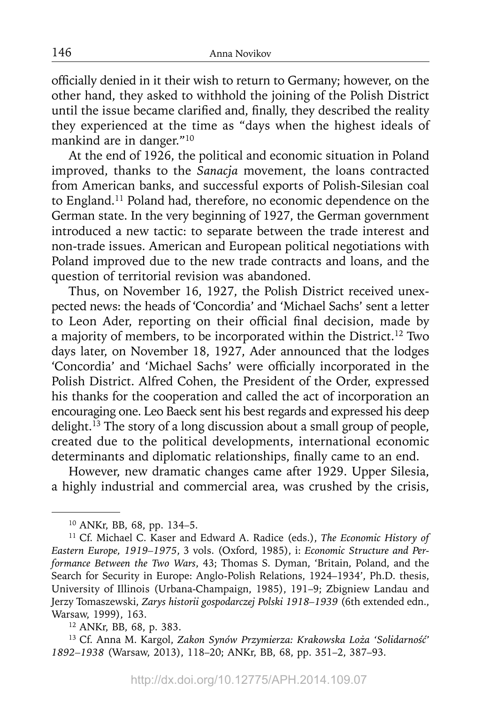officially denied in it their wish to return to Germany; however, on the other hand, they asked to withhold the joining of the Polish District until the issue became clarified and, finally, they described the reality they experienced at the time as "days when the highest ideals of mankind are in danger."10

At the end of 1926, the political and economic situation in Poland improved, thanks to the *Sanacja* movement, the loans contracted from American banks, and successful exports of Polish-Silesian coal to England.11 Poland had, therefore, no economic dependence on the German state. In the very beginning of 1927, the German government introduced a new tactic: to separate between the trade interest and non-trade issues. American and European political negotiations with Poland improved due to the new trade contracts and loans, and the question of territorial revision was abandoned.

Thus, on November 16, 1927, the Polish District received unexpected news: the heads of 'Concordia' and 'Michael Sachs' sent a letter to Leon Ader, reporting on their official final decision, made by a majority of members, to be incorporated within the District.12 Two days later, on November 18, 1927, Ader announced that the lodges 'Concordia' and 'Michael Sachs' were officially incorporated in the Polish District. Alfred Cohen, the President of the Order, expressed his thanks for the cooperation and called the act of incorporation an encouraging one. Leo Baeck sent his best regards and expressed his deep delight.13 The story of a long discussion about a small group of people, created due to the political developments, international economic determinants and diplomatic relationships, finally came to an end.

However, new dramatic changes came after 1929. Upper Silesia, a highly industrial and commercial area, was crushed by the crisis,

<sup>10</sup> ANKr, BB, 68, pp. 134–5.

<sup>11</sup> Cf. Michael C. Kaser and Edward A. Radice (eds.), *The Economic History of Eastern Europe, 1919–1975*, 3 vols. (Oxford, 1985), i: *Economic Structure and Performance Between the Two Wars*, 43; Thomas S. Dyman, 'Britain, Poland, and the Search for Security in Europe: Anglo-Polish Relations, 1924–1934', Ph.D. thesis, University of Illinois (Urbana-Champaign, 1985), 191–9; Zbigniew Landau and Jerzy Tomaszewski, *Zarys historii gospodarczej Polski 1918–1939* (6th extended edn., Warsaw, 1999), 163.

<sup>12</sup> ANKr, BB, 68, p. 383.

<sup>13</sup> Cf. Anna M. Kargol, *Zakon Synów Przymierza: Krakowska Loża 'Solidarność' 1892–1938* (Warsaw, 2013), 118–20; ANKr, BB, 68, pp. 351–2, 387–93.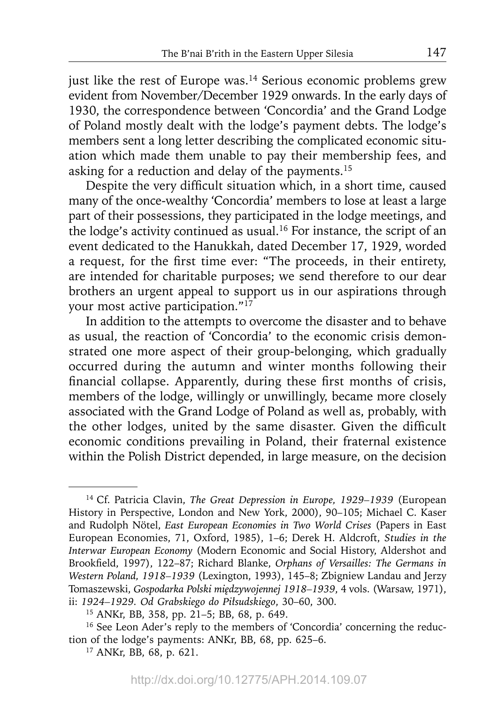just like the rest of Europe was. $14$  Serious economic problems grew evident from November/December 1929 onwards. In the early days of 1930, the correspondence between 'Concordia' and the Grand Lodge of Poland mostly dealt with the lodge's payment debts. The lodge's members sent a long letter describing the complicated economic situation which made them unable to pay their membership fees, and asking for a reduction and delay of the payments.<sup>15</sup>

Despite the very difficult situation which, in a short time, caused many of the once-wealthy 'Concordia' members to lose at least a large part of their possessions, they participated in the lodge meetings, and the lodge's activity continued as usual.16 For instance, the script of an event dedicated to the Hanukkah, dated December 17, 1929, worded a request, for the first time ever: "The proceeds, in their entirety, are intended for charitable purposes; we send therefore to our dear brothers an urgent appeal to support us in our aspirations through your most active participation."<sup>17</sup>

In addition to the attempts to overcome the disaster and to behave as usual, the reaction of 'Concordia' to the economic crisis demonstrated one more aspect of their group-belonging, which gradually occurred during the autumn and winter months following their financial collapse. Apparently, during these first months of crisis, members of the lodge, willingly or unwillingly, became more closely associated with the Grand Lodge of Poland as well as, probably, with the other lodges, united by the same disaster. Given the difficult economic conditions prevailing in Poland, their fraternal existence within the Polish District depended, in large measure, on the decision

<sup>14</sup> Cf. Patricia Clavin, *The Great Depression in Europe, 1929–1939* (European History in Perspective, London and New York, 2000), 90–105; Michael C. Kaser and Rudolph Nötel, *East European Economies in Two World Crises* (Papers in East European Economies, 71, Oxford, 1985), 1–6; Derek H. Aldcroft, *Studies in the Interwar European Economy* (Modern Economic and Social History, Aldershot and Brookfield, 1997), 122-87; Richard Blanke, *Orphans of Versailles: The Germans in Western Poland, 1918–1939* (Lexington, 1993), 145–8; Zbigniew Landau and Jerzy Tomaszewski, *Gospodarka Polski międzywojennej 1918–1939*, 4 vols. (Warsaw, 1971), ii: *1924–1929. Od Grabskiego do Piłsudskiego*, 30–60, 300.

<sup>15</sup> ANKr, BB, 358, pp. 21–5; BB, 68, p. 649.

<sup>&</sup>lt;sup>16</sup> See Leon Ader's reply to the members of 'Concordia' concerning the reduction of the lodge's payments: ANKr, BB, 68, pp. 625–6.

<sup>17</sup> ANKr, BB, 68, p. 621.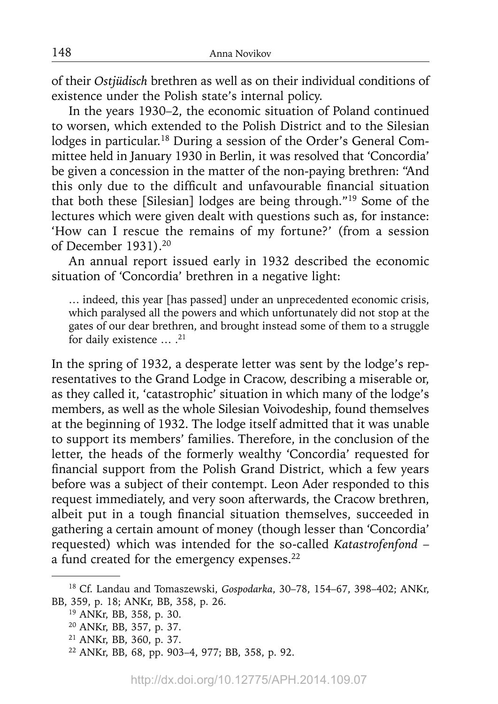of their *Ostjüdisch* brethren as well as on their individual conditions of existence under the Polish state's internal policy.

In the years 1930–2, the economic situation of Poland continued to worsen, which extended to the Polish District and to the Silesian lodges in particular.<sup>18</sup> During a session of the Order's General Committee held in January 1930 in Berlin, it was resolved that 'Concordia' be given a concession in the matter of the non-paying brethren: "And this only due to the difficult and unfavourable financial situation that both these [Silesian] lodges are being through."19 Some of the lectures which were given dealt with questions such as, for instance: 'How can I rescue the remains of my fortune?' (from a session of December 1931).20

An annual report issued early in 1932 described the economic situation of 'Concordia' brethren in a negative light:

… indeed, this year [has passed] under an unprecedented economic crisis, which paralysed all the powers and which unfortunately did not stop at the gates of our dear brethren, and brought instead some of them to a struggle for daily existence ... .<sup>21</sup>

In the spring of 1932, a desperate letter was sent by the lodge's representatives to the Grand Lodge in Cracow, describing a miserable or, as they called it, 'catastrophic' situation in which many of the lodge's members, as well as the whole Silesian Voivodeship, found themselves at the beginning of 1932. The lodge itself admitted that it was unable to support its members' families. Therefore, in the conclusion of the letter, the heads of the formerly wealthy 'Concordia' requested for financial support from the Polish Grand District, which a few years before was a subject of their contempt. Leon Ader responded to this request immediately, and very soon afterwards, the Cracow brethren, albeit put in a tough financial situation themselves, succeeded in gathering a certain amount of money (though lesser than 'Concordia' requested) which was intended for the so-called *Katastrofenfond* – a fund created for the emergency expenses.<sup>22</sup>

<sup>18</sup> Cf. Landau and Tomaszewski, *Gospodarka*, 30–78, 154–67, 398–402; ANKr, BB, 359, p. 18; ANKr, BB, 358, p. 26.

<sup>19</sup> ANKr, BB, 358, p. 30.

<sup>20</sup> ANKr, BB, 357, p. 37.

<sup>21</sup> ANKr, BB, 360, p. 37.

<sup>22</sup> ANKr, BB, 68, pp. 903–4, 977; BB, 358, p. 92.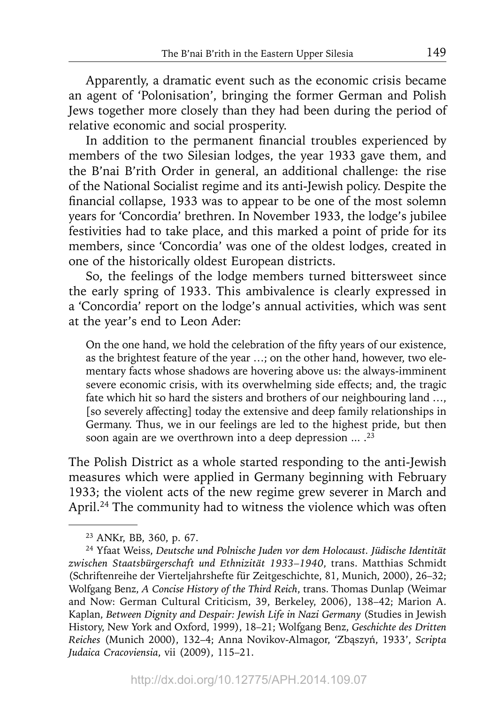Apparently, a dramatic event such as the economic crisis became an agent of 'Polonisation', bringing the former German and Polish Jews together more closely than they had been during the period of relative economic and social prosperity.

In addition to the permanent financial troubles experienced by members of the two Silesian lodges, the year 1933 gave them, and the B'nai B'rith Order in general, an additional challenge: the rise of the National Socialist regime and its anti-Jewish policy. Despite the financial collapse, 1933 was to appear to be one of the most solemn years for 'Concordia' brethren. In November 1933, the lodge's jubilee festivities had to take place, and this marked a point of pride for its members, since 'Concordia' was one of the oldest lodges, created in one of the historically oldest European districts.

So, the feelings of the lodge members turned bittersweet since the early spring of 1933. This ambivalence is clearly expressed in a 'Concordia' report on the lodge's annual activities, which was sent at the year's end to Leon Ader:

On the one hand, we hold the celebration of the fifty years of our existence, as the brightest feature of the year …; on the other hand, however, two elementary facts whose shadows are hovering above us: the always-imminent severe economic crisis, with its overwhelming side effects; and, the tragic fate which hit so hard the sisters and brothers of our neighbouring land …, [so severely affecting] today the extensive and deep family relationships in Germany. Thus, we in our feelings are led to the highest pride, but then soon again are we overthrown into a deep depression  $\ldots$ .<sup>23</sup>

The Polish District as a whole started responding to the anti-Jewish measures which were applied in Germany beginning with February 1933; the violent acts of the new regime grew severer in March and April.<sup>24</sup> The community had to witness the violence which was often

<sup>23</sup> ANKr, BB, 360, p. 67.

<sup>24</sup> Yfaat Weiss, *Deutsche und Polnische Juden vor dem Holocaust. Jüdische Identität zwischen Staatsbürgerschaft und Ethnizität 1933–1940*, trans. Matthias Schmidt (Schriftenreihe der Vierteljahrshefte für Zeitgeschichte, 81, Munich, 2000), 26–32; Wolfgang Benz, *A Concise History of the Third Reich*, trans. Thomas Dunlap (Weimar and Now: German Cultural Criticism, 39, Berkeley, 2006), 138–42; Marion A. Kaplan, *Between Dignity and Despair: Jewish Life in Nazi Germany* (Studies in Jewish History, New York and Oxford, 1999), 18–21; Wolfgang Benz, *Geschichte des Dritten Reiches* (Munich 2000), 132–4; Anna Novikov-Almagor, 'Zbąszyń, 1933', *Scripta Judaica Cracoviensia*, vii (2009), 115–21.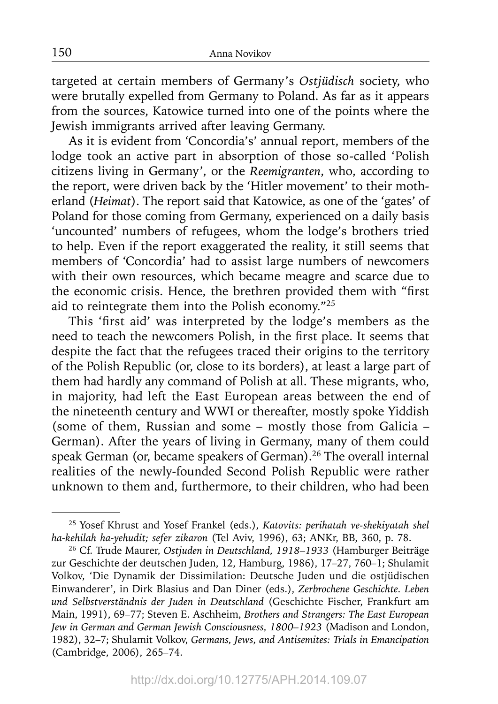targeted at certain members of Germany's *Ostjüdisch* society, who were brutally expelled from Germany to Poland. As far as it appears from the sources, Katowice turned into one of the points where the Jewish immigrants arrived after leaving Germany.

As it is evident from 'Concordia's' annual report, members of the lodge took an active part in absorption of those so-called 'Polish citizens living in Germany', or the *Reemigranten*, who, according to the report, were driven back by the 'Hitler movement' to their motherland (*Heimat*). The report said that Katowice, as one of the 'gates' of Poland for those coming from Germany, experienced on a daily basis 'uncounted' numbers of refugees, whom the lodge's brothers tried to help. Even if the report exaggerated the reality, it still seems that members of 'Concordia' had to assist large numbers of newcomers with their own resources, which became meagre and scarce due to the economic crisis. Hence, the brethren provided them with "first aid to reintegrate them into the Polish economy."25

This 'first aid' was interpreted by the lodge's members as the need to teach the newcomers Polish, in the first place. It seems that despite the fact that the refugees traced their origins to the territory of the Polish Republic (or, close to its borders), at least a large part of them had hardly any command of Polish at all. These migrants, who, in majority, had left the East European areas between the end of the nineteenth century and WWI or thereafter, mostly spoke Yiddish (some of them, Russian and some – mostly those from Galicia – German). After the years of living in Germany, many of them could speak German (or, became speakers of German).<sup>26</sup> The overall internal realities of the newly-founded Second Polish Republic were rather unknown to them and, furthermore, to their children, who had been

<sup>25</sup> Yosef Khrust and Yosef Frankel (eds.), *Katovits: perihatah ve-shekiyatah shel ha-kehilah ha-yehudit; sefer zikaron* (Tel Aviv, 1996), 63; ANKr, BB, 360, p. 78.

<sup>26</sup> Cf. Trude Maurer, *Ostjuden in Deutschland, 1918–1933* (Hamburger Beiträge zur Geschichte der deutschen Juden, 12, Hamburg, 1986), 17–27, 760–1; Shulamit Volkov, 'Die Dynamik der Dissimilation: Deutsche Juden und die ostjüdischen Einwanderer', in Dirk Blasius and Dan Diner (eds.), *Zerbrochene Geschichte. Leben und Selbstverständnis der Juden in Deutschland* (Geschichte Fischer, Frankfurt am Main, 1991), 69–77; Steven E. Aschheim, *Brothers and Strangers: The East European Jew in German and German Jewish Consciousness, 1800–1923* (Madison and London, 1982), 32–7; Shulamit Volkov, *Germans, Jews, and Antisemites: Trials in Emancipation* (Cambridge, 2006), 265–74.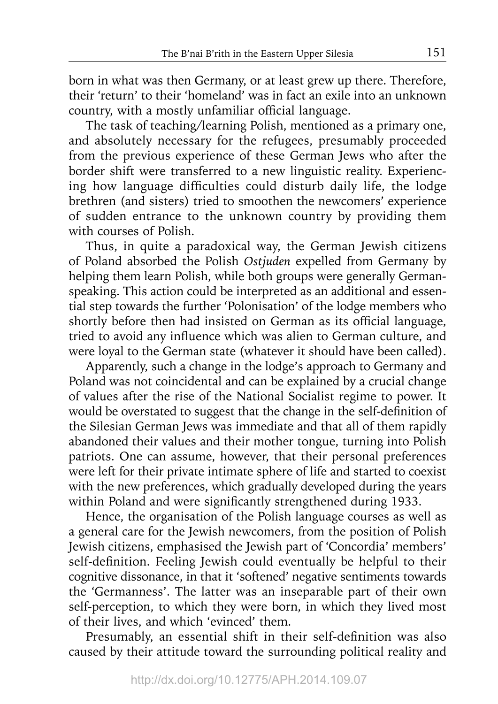born in what was then Germany, or at least grew up there. Therefore, their 'return' to their 'homeland' was in fact an exile into an unknown country, with a mostly unfamiliar official language.

The task of teaching/learning Polish, mentioned as a primary one, and absolutely necessary for the refugees, presumably proceeded from the previous experience of these German Jews who after the border shift were transferred to a new linguistic reality. Experiencing how language difficulties could disturb daily life, the lodge brethren (and sisters) tried to smoothen the newcomers' experience of sudden entrance to the unknown country by providing them with courses of Polish.

Thus, in quite a paradoxical way, the German Jewish citizens of Poland absorbed the Polish *Ostjuden* expelled from Germany by helping them learn Polish, while both groups were generally Germanspeaking. This action could be interpreted as an additional and essential step towards the further 'Polonisation' of the lodge members who shortly before then had insisted on German as its official language, tried to avoid any influence which was alien to German culture, and were loyal to the German state (whatever it should have been called).

Apparently, such a change in the lodge's approach to Germany and Poland was not coincidental and can be explained by a crucial change of values after the rise of the National Socialist regime to power. It would be overstated to suggest that the change in the self-definition of the Silesian German Jews was immediate and that all of them rapidly abandoned their values and their mother tongue, turning into Polish patriots. One can assume, however, that their personal preferences were left for their private intimate sphere of life and started to coexist with the new preferences, which gradually developed during the years within Poland and were significantly strengthened during 1933.

Hence, the organisation of the Polish language courses as well as a general care for the Jewish newcomers, from the position of Polish Jewish citizens, emphasised the Jewish part of 'Concordia' members' self-definition. Feeling Jewish could eventually be helpful to their cognitive dissonance, in that it 'softened' negative sentiments towards the 'Germanness'. The latter was an inseparable part of their own self-perception, to which they were born, in which they lived most of their lives, and which 'evinced' them.

Presumably, an essential shift in their self-definition was also caused by their attitude toward the surrounding political reality and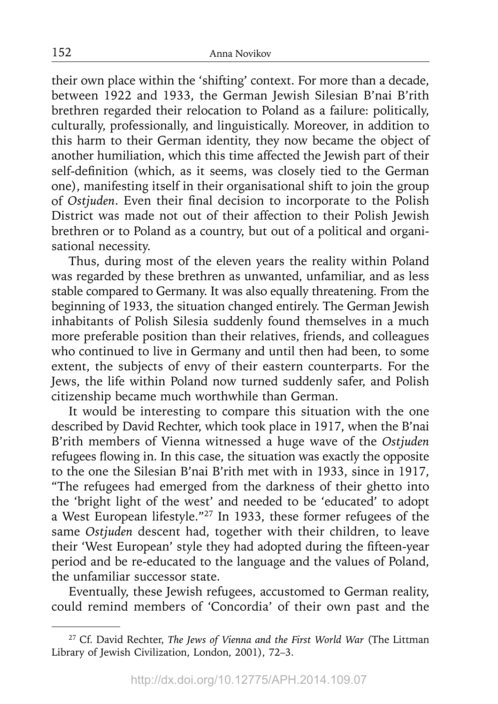their own place within the 'shifting' context. For more than a decade, between 1922 and 1933, the German Jewish Silesian B'nai B'rith brethren regarded their relocation to Poland as a failure: politically, culturally, professionally, and linguistically. Moreover, in addition to this harm to their German identity, they now became the object of another humiliation, which this time affected the Jewish part of their self-definition (which, as it seems, was closely tied to the German one), manifesting itself in their organisational shift to join the group of *Ostjuden*. Even their final decision to incorporate to the Polish District was made not out of their affection to their Polish Jewish brethren or to Poland as a country, but out of a political and organisational necessity.

Thus, during most of the eleven years the reality within Poland was regarded by these brethren as unwanted, unfamiliar, and as less stable compared to Germany. It was also equally threatening. From the beginning of 1933, the situation changed entirely. The German Jewish inhabitants of Polish Silesia suddenly found themselves in a much more preferable position than their relatives, friends, and colleagues who continued to live in Germany and until then had been, to some extent, the subjects of envy of their eastern counterparts. For the Jews, the life within Poland now turned suddenly safer, and Polish citizenship became much worthwhile than German.

It would be interesting to compare this situation with the one described by David Rechter, which took place in 1917, when the B'nai B'rith members of Vienna witnessed a huge wave of the *Ostjuden* refugees flowing in. In this case, the situation was exactly the opposite to the one the Silesian B'nai B'rith met with in 1933, since in 1917, "The refugees had emerged from the darkness of their ghetto into the 'bright light of the west' and needed to be 'educated' to adopt a West European lifestyle."27 In 1933, these former refugees of the same *Ostjuden* descent had, together with their children, to leave their 'West European' style they had adopted during the fifteen-year period and be re-educated to the language and the values of Poland, the unfamiliar successor state.

Eventually, these Jewish refugees, accustomed to German reality, could remind members of 'Concordia' of their own past and the

<sup>27</sup> Cf. David Rechter, *The Jews of Vienna and the First World War* (The Littman Library of Jewish Civilization, London, 2001), 72–3.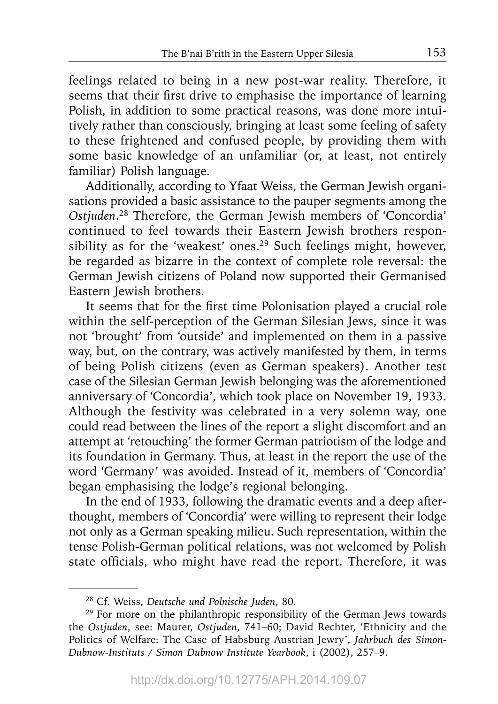feelings related to being in a new post-war reality. Therefore, it seems that their first drive to emphasise the importance of learning Polish, in addition to some practical reasons, was done more intuitively rather than consciously, bringing at least some feeling of safety to these frightened and confused people, by providing them with some basic knowledge of an unfamiliar (or, at least, not entirely familiar) Polish language.

Additionally, according to Yfaat Weiss, the German Jewish organisations provided a basic assistance to the pauper segments among the *Ostjuden*. 28 Therefore, the German Jewish members of 'Concordia' continued to feel towards their Eastern Jewish brothers responsibility as for the 'weakest' ones.<sup>29</sup> Such feelings might, however, be regarded as bizarre in the context of complete role reversal: the German Jewish citizens of Poland now supported their Germanised Eastern Jewish brothers.

It seems that for the first time Polonisation played a crucial role within the self-perception of the German Silesian Jews, since it was not 'brought' from 'outside' and implemented on them in a passive way, but, on the contrary, was actively manifested by them, in terms of being Polish citizens (even as German speakers). Another test case of the Silesian German Jewish belonging was the aforementioned anniversary of 'Concordia', which took place on November 19, 1933. Although the festivity was celebrated in a very solemn way, one could read between the lines of the report a slight discomfort and an attempt at 'retouching' the former German patriotism of the lodge and its foundation in Germany. Thus, at least in the report the use of the word 'Germany' was avoided. Instead of it, members of 'Concordia' began emphasising the lodge's regional belonging.

In the end of 1933, following the dramatic events and a deep afterthought, members of 'Concordia' were willing to represent their lodge not only as a German speaking milieu. Such representation, within the tense Polish-German political relations, was not welcomed by Polish state officials, who might have read the report. Therefore, it was

<sup>28</sup> Cf. Weiss, *Deutsche und Polnische Juden*, 80.

<sup>&</sup>lt;sup>29</sup> For more on the philanthropic responsibility of the German Jews towards the *Ostjuden*, see: Maurer, *Ostjuden*, 741–60; David Rechter, 'Ethnicity and the Politics of Welfare: The Case of Habsburg Austrian Jewry', *Jahrbuch des Simon-Dubnow-Instituts / Simon Dubnow Institute Yearbook*, i (2002), 257–9.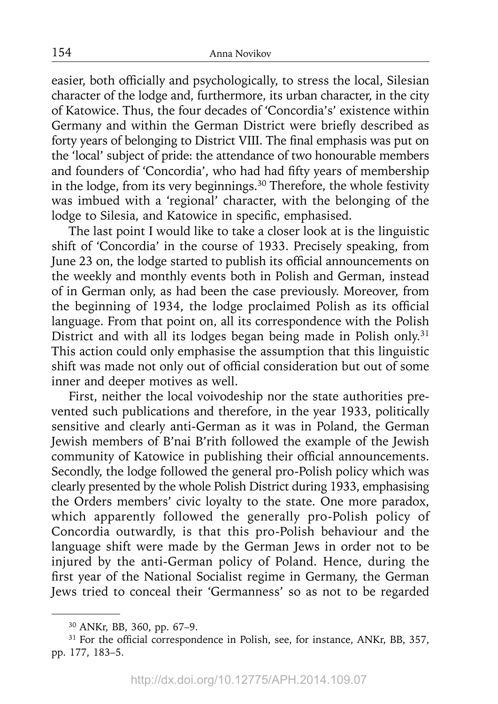easier, both officially and psychologically, to stress the local, Silesian character of the lodge and, furthermore, its urban character, in the city of Katowice. Thus, the four decades of 'Concordia's' existence within Germany and within the German District were briefly described as forty years of belonging to District VIII. The final emphasis was put on the 'local' subject of pride: the attendance of two honourable members and founders of 'Concordia', who had had fifty years of membership in the lodge, from its very beginnings.30 Therefore, the whole festivity was imbued with a 'regional' character, with the belonging of the lodge to Silesia, and Katowice in specific, emphasised.

The last point I would like to take a closer look at is the linguistic shift of 'Concordia' in the course of 1933. Precisely speaking, from June 23 on, the lodge started to publish its official announcements on the weekly and monthly events both in Polish and German, instead of in German only, as had been the case previously. Moreover, from the beginning of 1934, the lodge proclaimed Polish as its official language. From that point on, all its correspondence with the Polish District and with all its lodges began being made in Polish only.<sup>31</sup> This action could only emphasise the assumption that this linguistic shift was made not only out of official consideration but out of some inner and deeper motives as well.

First, neither the local voivodeship nor the state authorities prevented such publications and therefore, in the year 1933, politically sensitive and clearly anti-German as it was in Poland, the German Jewish members of B'nai B'rith followed the example of the Jewish community of Katowice in publishing their official announcements. Secondly, the lodge followed the general pro-Polish policy which was clearly presented by the whole Polish District during 1933, emphasising the Orders members' civic loyalty to the state. One more paradox, which apparently followed the generally pro-Polish policy of Concordia outwardly, is that this pro-Polish behaviour and the language shift were made by the German Jews in order not to be injured by the anti-German policy of Poland. Hence, during the first year of the National Socialist regime in Germany, the German Jews tried to conceal their 'Germanness' so as not to be regarded

<sup>30</sup> ANKr, BB, 360, pp. 67–9.

 $31$  For the official correspondence in Polish, see, for instance, ANKr, BB, 357, pp. 177, 183–5.